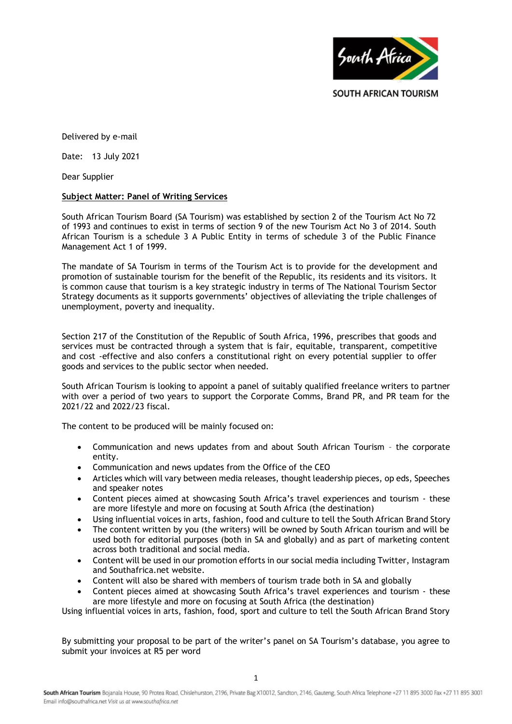

Delivered by e-mail

Date: 13 July 2021

Dear Supplier

# **Subject Matter: Panel of Writing Services**

South African Tourism Board (SA Tourism) was established by section 2 of the Tourism Act No 72 of 1993 and continues to exist in terms of section 9 of the new Tourism Act No 3 of 2014. South African Tourism is a schedule 3 A Public Entity in terms of schedule 3 of the Public Finance Management Act 1 of 1999.

The mandate of SA Tourism in terms of the Tourism Act is to provide for the development and promotion of sustainable tourism for the benefit of the Republic, its residents and its visitors. It is common cause that tourism is a key strategic industry in terms of The National Tourism Sector Strategy documents as it supports governments' objectives of alleviating the triple challenges of unemployment, poverty and inequality.

Section 217 of the Constitution of the Republic of South Africa, 1996, prescribes that goods and services must be contracted through a system that is fair, equitable, transparent, competitive and cost -effective and also confers a constitutional right on every potential supplier to offer goods and services to the public sector when needed.

South African Tourism is looking to appoint a panel of suitably qualified freelance writers to partner with over a period of two years to support the Corporate Comms, Brand PR, and PR team for the 2021/22 and 2022/23 fiscal.

The content to be produced will be mainly focused on:

- Communication and news updates from and about South African Tourism the corporate entity.
- Communication and news updates from the Office of the CEO
- Articles which will vary between media releases, thought leadership pieces, op eds, Speeches and speaker notes
- Content pieces aimed at showcasing South Africa's travel experiences and tourism these are more lifestyle and more on focusing at South Africa (the destination)
- Using influential voices in arts, fashion, food and culture to tell the South African Brand Story
- The content written by you (the writers) will be owned by South African tourism and will be used both for editorial purposes (both in SA and globally) and as part of marketing content across both traditional and social media.
- Content will be used in our promotion efforts in our social media including Twitter, Instagram and Southafrica.net website.
- Content will also be shared with members of tourism trade both in SA and globally
- Content pieces aimed at showcasing South Africa's travel experiences and tourism these are more lifestyle and more on focusing at South Africa (the destination)

Using influential voices in arts, fashion, food, sport and culture to tell the South African Brand Story

By submitting your proposal to be part of the writer's panel on SA Tourism's database, you agree to submit your invoices at R5 per word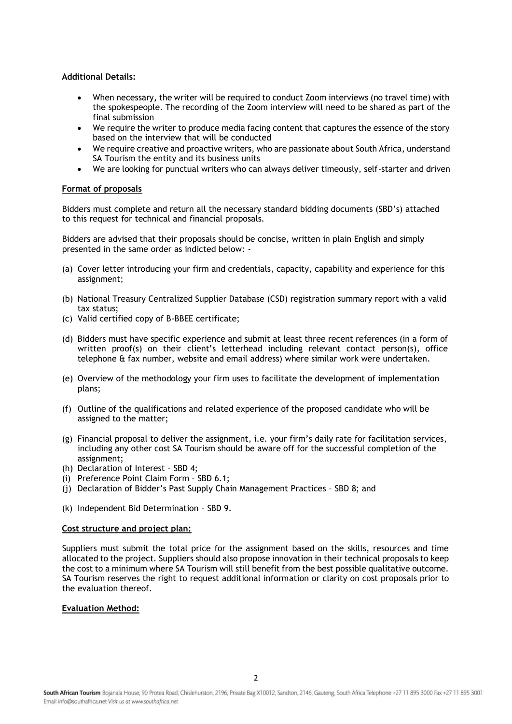# **Additional Details:**

- When necessary, the writer will be required to conduct Zoom interviews (no travel time) with the spokespeople. The recording of the Zoom interview will need to be shared as part of the final submission
- We require the writer to produce media facing content that captures the essence of the story based on the interview that will be conducted
- We require creative and proactive writers, who are passionate about South Africa, understand SA Tourism the entity and its business units
- We are looking for punctual writers who can always deliver timeously, self-starter and driven

# **Format of proposals**

Bidders must complete and return all the necessary standard bidding documents (SBD's) attached to this request for technical and financial proposals.

Bidders are advised that their proposals should be concise, written in plain English and simply presented in the same order as indicted below: -

- (a) Cover letter introducing your firm and credentials, capacity, capability and experience for this assignment;
- (b) National Treasury Centralized Supplier Database (CSD) registration summary report with a valid tax status;
- (c) Valid certified copy of B-BBEE certificate;
- (d) Bidders must have specific experience and submit at least three recent references (in a form of written proof(s) on their client's letterhead including relevant contact person(s), office telephone & fax number, website and email address) where similar work were undertaken.
- (e) Overview of the methodology your firm uses to facilitate the development of implementation plans;
- (f) Outline of the qualifications and related experience of the proposed candidate who will be assigned to the matter;
- (g) Financial proposal to deliver the assignment, i.e. your firm's daily rate for facilitation services, including any other cost SA Tourism should be aware off for the successful completion of the assignment;
- (h) Declaration of Interest SBD 4;
- (i) Preference Point Claim Form SBD 6.1;
- (j) Declaration of Bidder's Past Supply Chain Management Practices SBD 8; and
- (k) Independent Bid Determination SBD 9.

#### **Cost structure and project plan:**

Suppliers must submit the total price for the assignment based on the skills, resources and time allocated to the project. Suppliers should also propose innovation in their technical proposals to keep the cost to a minimum where SA Tourism will still benefit from the best possible qualitative outcome. SA Tourism reserves the right to request additional information or clarity on cost proposals prior to the evaluation thereof.

# **Evaluation Method:**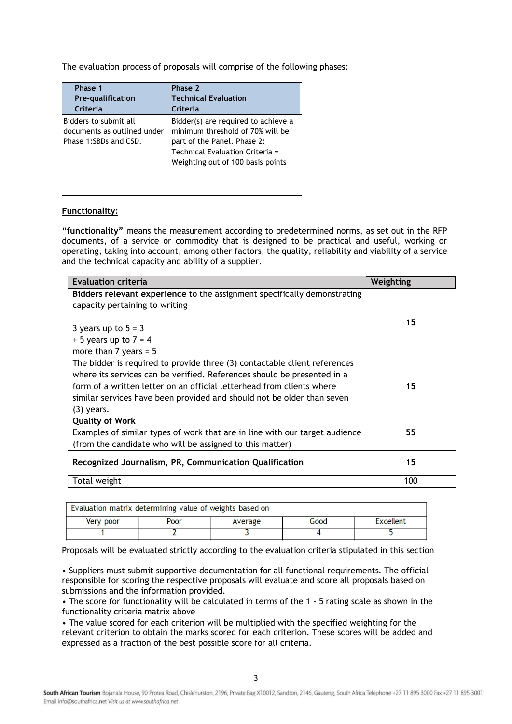The evaluation process of proposals will comprise of the following phases:

| Phase 1                                                                       | Phase 2                                                                                                                                                                        |
|-------------------------------------------------------------------------------|--------------------------------------------------------------------------------------------------------------------------------------------------------------------------------|
| <b>Pre-qualification</b>                                                      | <b>Technical Evaluation</b>                                                                                                                                                    |
| Criteria                                                                      | Criteria                                                                                                                                                                       |
| Bidders to submit all<br>documents as outlined under<br>Phase 1:SBDs and CSD. | Bidder(s) are required to achieve a<br>minimum threshold of 70% will be<br>part of the Panel. Phase 2:<br>Technical Evaluation Criteria =<br>Weighting out of 100 basis points |

# **Functionality:**

**"functionality"** means the measurement according to predetermined norms, as set out in the RFP documents, of a service or commodity that is designed to be practical and useful, working or operating, taking into account, among other factors, the quality, reliability and viability of a service and the technical capacity and ability of a supplier.

| <b>Evaluation criteria</b>                                                  | Weighting |
|-----------------------------------------------------------------------------|-----------|
| Bidders relevant experience to the assignment specifically demonstrating    |           |
| capacity pertaining to writing                                              |           |
|                                                                             | 15        |
| 3 years up to $5 = 3$                                                       |           |
| $+5$ years up to $7 = 4$                                                    |           |
| more than $7$ years = $5$                                                   |           |
| The bidder is required to provide three (3) contactable client references   |           |
| where its services can be verified. References should be presented in a     |           |
| form of a written letter on an official letterhead from clients where       | 15        |
| similar services have been provided and should not be older than seven      |           |
| $(3)$ years.                                                                |           |
| <b>Quality of Work</b>                                                      |           |
| Examples of similar types of work that are in line with our target audience | 55        |
| (from the candidate who will be assigned to this matter)                    |           |
| Recognized Journalism, PR, Communication Qualification                      | 15        |
| Total weight                                                                | 100       |

| Evaluation matrix determining value of weights based on |      |         |      |           |
|---------------------------------------------------------|------|---------|------|-----------|
| Very poor                                               | Poor | Average | Good | Excellent |
|                                                         |      |         |      |           |

Proposals will be evaluated strictly according to the evaluation criteria stipulated in this section

• Suppliers must submit supportive documentation for all functional requirements. The official responsible for scoring the respective proposals will evaluate and score all proposals based on submissions and the information provided.

• The score for functionality will be calculated in terms of the 1 - 5 rating scale as shown in the functionality criteria matrix above

• The value scored for each criterion will be multiplied with the specified weighting for the relevant criterion to obtain the marks scored for each criterion. These scores will be added and expressed as a fraction of the best possible score for all criteria.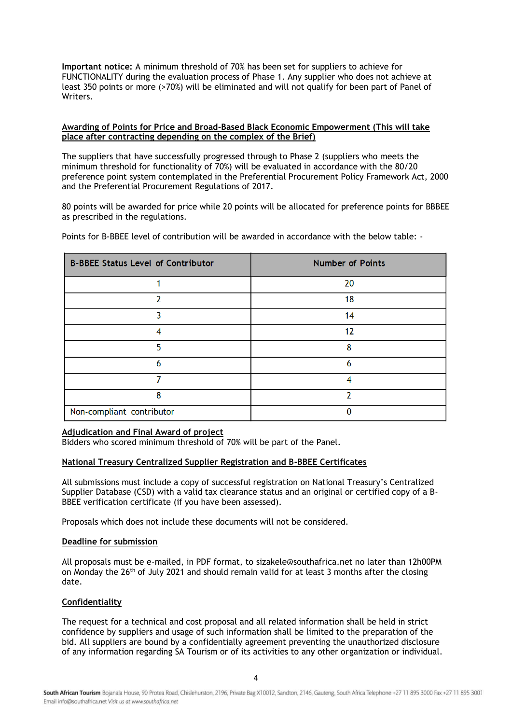**Important notice:** A minimum threshold of 70% has been set for suppliers to achieve for FUNCTIONALITY during the evaluation process of Phase 1. Any supplier who does not achieve at least 350 points or more (>70%) will be eliminated and will not qualify for been part of Panel of Writers.

# **Awarding of Points for Price and Broad-Based Black Economic Empowerment (This will take place after contracting depending on the complex of the Brief)**

The suppliers that have successfully progressed through to Phase 2 (suppliers who meets the minimum threshold for functionality of 70%) will be evaluated in accordance with the 80/20 preference point system contemplated in the Preferential Procurement Policy Framework Act, 2000 and the Preferential Procurement Regulations of 2017.

80 points will be awarded for price while 20 points will be allocated for preference points for BBBEE as prescribed in the regulations.

Points for B-BBEE level of contribution will be awarded in accordance with the below table: -

| <b>B-BBEE Status Level of Contributor</b> | <b>Number of Points</b> |
|-------------------------------------------|-------------------------|
|                                           | 20                      |
| 2                                         | 18                      |
| ٦                                         | 14                      |
| 4                                         | 12                      |
| 5                                         | 8                       |
| 6                                         | 6                       |
|                                           | 4                       |
| 8                                         | 2                       |
| Non-compliant contributor                 |                         |

#### **Adjudication and Final Award of project**

Bidders who scored minimum threshold of 70% will be part of the Panel.

#### **National Treasury Centralized Supplier Registration and B-BBEE Certificates**

All submissions must include a copy of successful registration on National Treasury's Centralized Supplier Database (CSD) with a valid tax clearance status and an original or certified copy of a B-BBEE verification certificate (if you have been assessed).

Proposals which does not include these documents will not be considered.

#### **Deadline for submission**

All proposals must be e-mailed, in PDF format, to sizakele@southafrica.net no later than 12h00PM on Monday the  $26<sup>th</sup>$  of July 2021 and should remain valid for at least 3 months after the closing date.

#### **Confidentiality**

The request for a technical and cost proposal and all related information shall be held in strict confidence by suppliers and usage of such information shall be limited to the preparation of the bid. All suppliers are bound by a confidentially agreement preventing the unauthorized disclosure of any information regarding SA Tourism or of its activities to any other organization or individual.